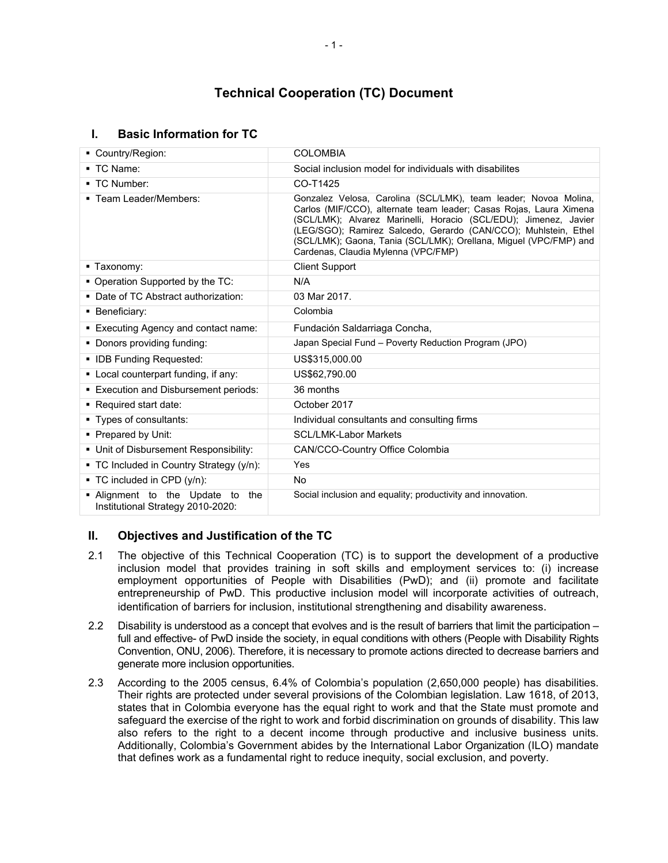# **Technical Cooperation (TC) Document**

## **I. Basic Information for TC**

| Country/Region:                                                          | <b>COLOMBIA</b>                                                                                                                                                                                                                                                                                                                                                                          |
|--------------------------------------------------------------------------|------------------------------------------------------------------------------------------------------------------------------------------------------------------------------------------------------------------------------------------------------------------------------------------------------------------------------------------------------------------------------------------|
| $\blacksquare$ TC Name:                                                  | Social inclusion model for individuals with disabilites                                                                                                                                                                                                                                                                                                                                  |
| ■ TC Number:                                                             | CO-T1425                                                                                                                                                                                                                                                                                                                                                                                 |
| ■ Team Leader/Members:                                                   | Gonzalez Velosa, Carolina (SCL/LMK), team leader; Novoa Molina,<br>Carlos (MIF/CCO), alternate team leader; Casas Rojas, Laura Ximena<br>(SCL/LMK); Alvarez Marinelli, Horacio (SCL/EDU); Jimenez, Javier<br>(LEG/SGO); Ramirez Salcedo, Gerardo (CAN/CCO); Muhlstein, Ethel<br>(SCL/LMK); Gaona, Tania (SCL/LMK); Orellana, Miguel (VPC/FMP) and<br>Cardenas, Claudia Mylenna (VPC/FMP) |
| ■ Taxonomy:                                                              | <b>Client Support</b>                                                                                                                                                                                                                                                                                                                                                                    |
| • Operation Supported by the TC:                                         | N/A                                                                                                                                                                                                                                                                                                                                                                                      |
| • Date of TC Abstract authorization:                                     | 03 Mar 2017.                                                                                                                                                                                                                                                                                                                                                                             |
| • Beneficiary:                                                           | Colombia                                                                                                                                                                                                                                                                                                                                                                                 |
| • Executing Agency and contact name:                                     | Fundación Saldarriaga Concha,                                                                                                                                                                                                                                                                                                                                                            |
| • Donors providing funding:                                              | Japan Special Fund - Poverty Reduction Program (JPO)                                                                                                                                                                                                                                                                                                                                     |
| • IDB Funding Requested:                                                 | US\$315,000.00                                                                                                                                                                                                                                                                                                                                                                           |
| • Local counterpart funding, if any:                                     | US\$62,790.00                                                                                                                                                                                                                                                                                                                                                                            |
| • Execution and Disbursement periods:                                    | 36 months                                                                                                                                                                                                                                                                                                                                                                                |
| Required start date:                                                     | October 2017                                                                                                                                                                                                                                                                                                                                                                             |
| • Types of consultants:                                                  | Individual consultants and consulting firms                                                                                                                                                                                                                                                                                                                                              |
| • Prepared by Unit:                                                      | <b>SCL/LMK-Labor Markets</b>                                                                                                                                                                                                                                                                                                                                                             |
| • Unit of Disbursement Responsibility:                                   | CAN/CCO-Country Office Colombia                                                                                                                                                                                                                                                                                                                                                          |
| • TC Included in Country Strategy (y/n):                                 | Yes                                                                                                                                                                                                                                                                                                                                                                                      |
| $\blacksquare$ TC included in CPD (y/n):                                 | No.                                                                                                                                                                                                                                                                                                                                                                                      |
| . Alignment to the Update to<br>the<br>Institutional Strategy 2010-2020: | Social inclusion and equality; productivity and innovation.                                                                                                                                                                                                                                                                                                                              |

## **II. Objectives and Justification of the TC**

- 2.1 The objective of this Technical Cooperation (TC) is to support the development of a productive inclusion model that provides training in soft skills and employment services to: (i) increase employment opportunities of People with Disabilities (PwD); and (ii) promote and facilitate entrepreneurship of PwD. This productive inclusion model will incorporate activities of outreach, identification of barriers for inclusion, institutional strengthening and disability awareness.
- 2.2 Disability is understood as a concept that evolves and is the result of barriers that limit the participation full and effective- of PwD inside the society, in equal conditions with others (People with Disability Rights Convention, ONU, 2006). Therefore, it is necessary to promote actions directed to decrease barriers and generate more inclusion opportunities.
- 2.3 According to the 2005 census, 6.4% of Colombia's population (2,650,000 people) has disabilities. Their rights are protected under several provisions of the Colombian legislation. Law 1618, of 2013, states that in Colombia everyone has the equal right to work and that the State must promote and safeguard the exercise of the right to work and forbid discrimination on grounds of disability. This law also refers to the right to a decent income through productive and inclusive business units. Additionally, Colombia's Government abides by the International Labor Organization (ILO) mandate that defines work as a fundamental right to reduce inequity, social exclusion, and poverty.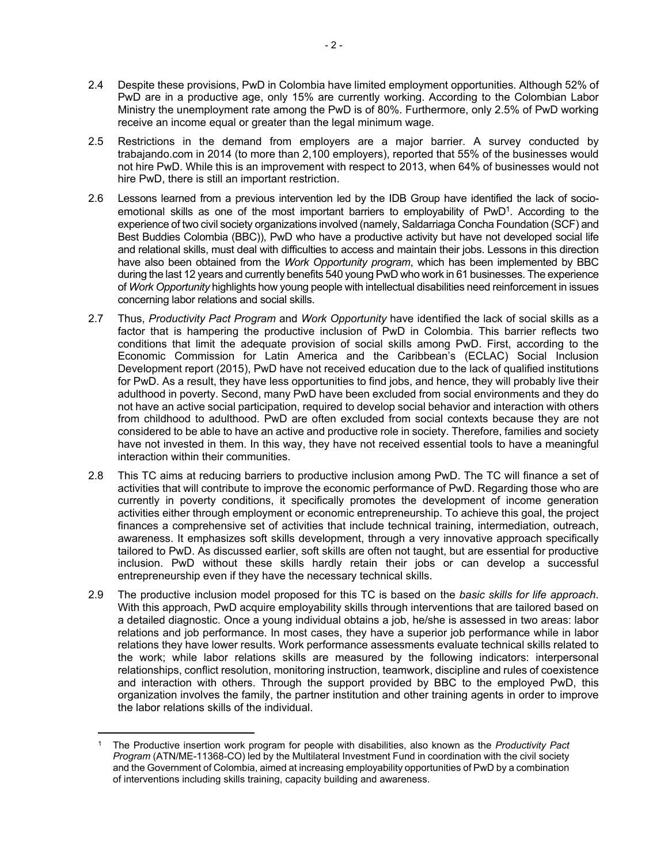- 2.4 Despite these provisions, PwD in Colombia have limited employment opportunities. Although 52% of PwD are in a productive age, only 15% are currently working. According to the Colombian Labor Ministry the unemployment rate among the PwD is of 80%. Furthermore, only 2.5% of PwD working receive an income equal or greater than the legal minimum wage.
- 2.5 Restrictions in the demand from employers are a major barrier. A survey conducted by trabajando.com in 2014 (to more than 2,100 employers), reported that 55% of the businesses would not hire PwD. While this is an improvement with respect to 2013, when 64% of businesses would not hire PwD, there is still an important restriction.
- 2.6 Lessons learned from a previous intervention led by the IDB Group have identified the lack of socioemotional skills as one of the most important barriers to employability of PwD<sup>1</sup>. According to the experience of two civil society organizations involved (namely, Saldarriaga Concha Foundation (SCF) and Best Buddies Colombia (BBC)), PwD who have a productive activity but have not developed social life and relational skills, must deal with difficulties to access and maintain their jobs. Lessons in this direction have also been obtained from the *Work Opportunity program*, which has been implemented by BBC during the last 12 years and currently benefits 540 young PwD who work in 61 businesses. The experience of *Work Opportunity* highlights how young people with intellectual disabilities need reinforcement in issues concerning labor relations and social skills.
- 2.7 Thus, *Productivity Pact Program* and *Work Opportunity* have identified the lack of social skills as a factor that is hampering the productive inclusion of PwD in Colombia. This barrier reflects two conditions that limit the adequate provision of social skills among PwD. First, according to the Economic Commission for Latin America and the Caribbean's (ECLAC) Social Inclusion Development report (2015), PwD have not received education due to the lack of qualified institutions for PwD. As a result, they have less opportunities to find jobs, and hence, they will probably live their adulthood in poverty. Second, many PwD have been excluded from social environments and they do not have an active social participation, required to develop social behavior and interaction with others from childhood to adulthood. PwD are often excluded from social contexts because they are not considered to be able to have an active and productive role in society. Therefore, families and society have not invested in them. In this way, they have not received essential tools to have a meaningful interaction within their communities.
- 2.8 This TC aims at reducing barriers to productive inclusion among PwD. The TC will finance a set of activities that will contribute to improve the economic performance of PwD. Regarding those who are currently in poverty conditions, it specifically promotes the development of income generation activities either through employment or economic entrepreneurship. To achieve this goal, the project finances a comprehensive set of activities that include technical training, intermediation, outreach, awareness. It emphasizes soft skills development, through a very innovative approach specifically tailored to PwD. As discussed earlier, soft skills are often not taught, but are essential for productive inclusion. PwD without these skills hardly retain their jobs or can develop a successful entrepreneurship even if they have the necessary technical skills.
- 2.9 The productive inclusion model proposed for this TC is based on the *basic skills for life approach*. With this approach, PwD acquire employability skills through interventions that are tailored based on a detailed diagnostic. Once a young individual obtains a job, he/she is assessed in two areas: labor relations and job performance. In most cases, they have a superior job performance while in labor relations they have lower results. Work performance assessments evaluate technical skills related to the work; while labor relations skills are measured by the following indicators: interpersonal relationships, conflict resolution, monitoring instruction, teamwork, discipline and rules of coexistence and interaction with others. Through the support provided by BBC to the employed PwD, this organization involves the family, the partner institution and other training agents in order to improve the labor relations skills of the individual.

<sup>1</sup> The Productive insertion work program for people with disabilities, also known as the *Productivity Pact Program* (ATN/ME-11368-CO) led by the Multilateral Investment Fund in coordination with the civil society and the Government of Colombia, aimed at increasing employability opportunities of PwD by a combination of interventions including skills training, capacity building and awareness.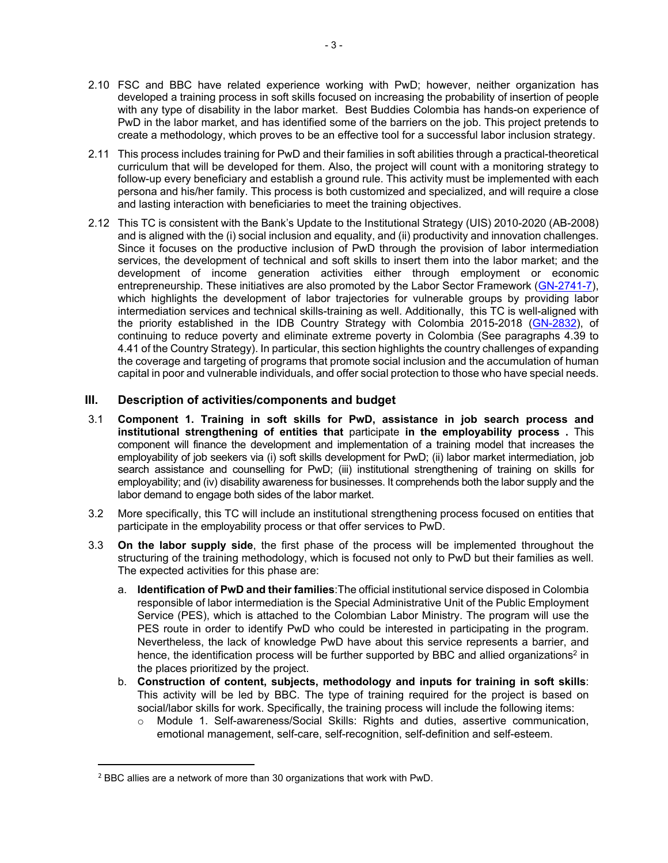- 2.10 FSC and BBC have related experience working with PwD; however, neither organization has developed a training process in soft skills focused on increasing the probability of insertion of people with any type of disability in the labor market. Best Buddies Colombia has hands-on experience of PwD in the labor market, and has identified some of the barriers on the job. This project pretends to create a methodology, which proves to be an effective tool for a successful labor inclusion strategy.
- 2.11 This process includes training for PwD and their families in soft abilities through a practical-theoretical curriculum that will be developed for them. Also, the project will count with a monitoring strategy to follow-up every beneficiary and establish a ground rule. This activity must be implemented with each persona and his/her family. This process is both customized and specialized, and will require a close and lasting interaction with beneficiaries to meet the training objectives.
- 2.12 This TC is consistent with the Bank's Update to the Institutional Strategy (UIS) 2010-2020 (AB-2008) and is aligned with the (i) social inclusion and equality, and (ii) productivity and innovation challenges. Since it focuses on the productive inclusion of PwD through the provision of labor intermediation services, the development of technical and soft skills to insert them into the labor market; and the development of income generation activities either through employment or economic entrepreneurship. These initiatives are also promoted by the Labor Sector Framework [\(GN-2741-7\)](http://www.iadb.org/document.cfm?id=40727227), which highlights the development of labor trajectories for vulnerable groups by providing labor intermediation services and technical skills-training as well. Additionally, this TC is well-aligned with the priority established in the IDB Country Strategy with Colombia 2015-2018 [\(GN-2832\)](http://www.iadb.org/es/paises/colombia/estrategia-de-pais,1022.htmlhttp:/www.iadb.org/es/paises/colombia/estrategia-de-pais,1022.html), of continuing to reduce poverty and eliminate extreme poverty in Colombia (See paragraphs 4.39 to 4.41 of the Country Strategy). In particular, this section highlights the country challenges of expanding the coverage and targeting of programs that promote social inclusion and the accumulation of human capital in poor and vulnerable individuals, and offer social protection to those who have special needs.

## **III. Description of activities/components and budget**

- 3.1 **Component 1. Training in soft skills for PwD, assistance in job search process and institutional strengthening of entities that** participate **in the employability process .** This component will finance the development and implementation of a training model that increases the employability of job seekers via (i) soft skills development for PwD; (ii) labor market intermediation, job search assistance and counselling for PwD; (iii) institutional strengthening of training on skills for employability; and (iv) disability awareness for businesses. It comprehends both the labor supply and the labor demand to engage both sides of the labor market.
- 3.2 More specifically, this TC will include an institutional strengthening process focused on entities that participate in the employability process or that offer services to PwD.
- 3.3 **On the labor supply side**, the first phase of the process will be implemented throughout the structuring of the training methodology, which is focused not only to PwD but their families as well. The expected activities for this phase are:
	- a. **Identification of PwD and their families**:The official institutional service disposed in Colombia responsible of labor intermediation is the Special Administrative Unit of the Public Employment Service (PES), which is attached to the Colombian Labor Ministry. The program will use the PES route in order to identify PwD who could be interested in participating in the program. Nevertheless, the lack of knowledge PwD have about this service represents a barrier, and hence, the identification process will be further supported by BBC and allied organizations<sup>2</sup> in the places prioritized by the project.
	- b. **Construction of content, subjects, methodology and inputs for training in soft skills**: This activity will be led by BBC. The type of training required for the project is based on social/labor skills for work. Specifically, the training process will include the following items:
		- o Module 1. Self-awareness/Social Skills: Rights and duties, assertive communication, emotional management, self-care, self-recognition, self-definition and self-esteem.

<sup>2</sup> BBC allies are a network of more than 30 organizations that work with PwD.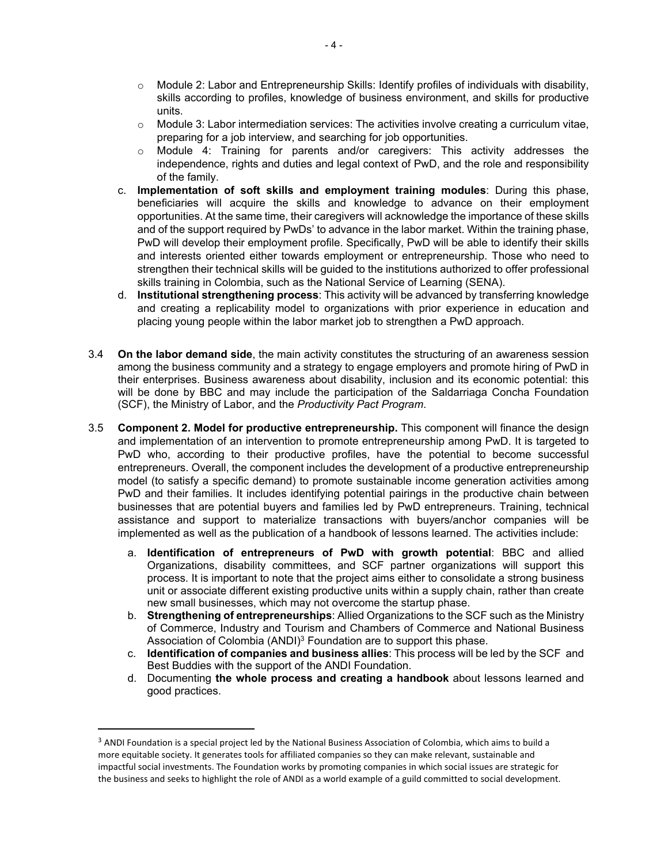- $\circ$  Module 2: Labor and Entrepreneurship Skills: Identify profiles of individuals with disability, skills according to profiles, knowledge of business environment, and skills for productive units.
- $\circ$  Module 3: Labor intermediation services: The activities involve creating a curriculum vitae, preparing for a job interview, and searching for job opportunities.
- $\circ$  Module 4: Training for parents and/or caregivers: This activity addresses the independence, rights and duties and legal context of PwD, and the role and responsibility of the family.
- c. **Implementation of soft skills and employment training modules**: During this phase, beneficiaries will acquire the skills and knowledge to advance on their employment opportunities. At the same time, their caregivers will acknowledge the importance of these skills and of the support required by PwDs' to advance in the labor market. Within the training phase, PwD will develop their employment profile. Specifically, PwD will be able to identify their skills and interests oriented either towards employment or entrepreneurship. Those who need to strengthen their technical skills will be guided to the institutions authorized to offer professional skills training in Colombia, such as the National Service of Learning (SENA).
- d. **Institutional strengthening process**: This activity will be advanced by transferring knowledge and creating a replicability model to organizations with prior experience in education and placing young people within the labor market job to strengthen a PwD approach.
- 3.4 **On the labor demand side**, the main activity constitutes the structuring of an awareness session among the business community and a strategy to engage employers and promote hiring of PwD in their enterprises. Business awareness about disability, inclusion and its economic potential: this will be done by BBC and may include the participation of the Saldarriaga Concha Foundation (SCF), the Ministry of Labor, and the *Productivity Pact Program*.
- 3.5 **Component 2. Model for productive entrepreneurship.** This component will finance the design and implementation of an intervention to promote entrepreneurship among PwD. It is targeted to PwD who, according to their productive profiles, have the potential to become successful entrepreneurs. Overall, the component includes the development of a productive entrepreneurship model (to satisfy a specific demand) to promote sustainable income generation activities among PwD and their families. It includes identifying potential pairings in the productive chain between businesses that are potential buyers and families led by PwD entrepreneurs. Training, technical assistance and support to materialize transactions with buyers/anchor companies will be implemented as well as the publication of a handbook of lessons learned. The activities include:
	- a. **Identification of entrepreneurs of PwD with growth potential**: BBC and allied Organizations, disability committees, and SCF partner organizations will support this process. It is important to note that the project aims either to consolidate a strong business unit or associate different existing productive units within a supply chain, rather than create new small businesses, which may not overcome the startup phase.
	- b. **Strengthening of entrepreneurships**: Allied Organizations to the SCF such as the Ministry of Commerce, Industry and Tourism and Chambers of Commerce and National Business Association of Colombia (ANDI)<sup>3</sup> Foundation are to support this phase.
	- c. **Identification of companies and business allies**: This process will be led by the SCF and Best Buddies with the support of the ANDI Foundation.
	- d. Documenting **the whole process and creating a handbook** about lessons learned and good practices.

<sup>&</sup>lt;sup>3</sup> ANDI Foundation is a special project led by the National Business Association of Colombia, which aims to build a more equitable society. It generates tools for affiliated companies so they can make relevant, sustainable and impactful social investments. The Foundation works by promoting companies in which social issues are strategic for the business and seeks to highlight the role of ANDI as a world example of a guild committed to social development.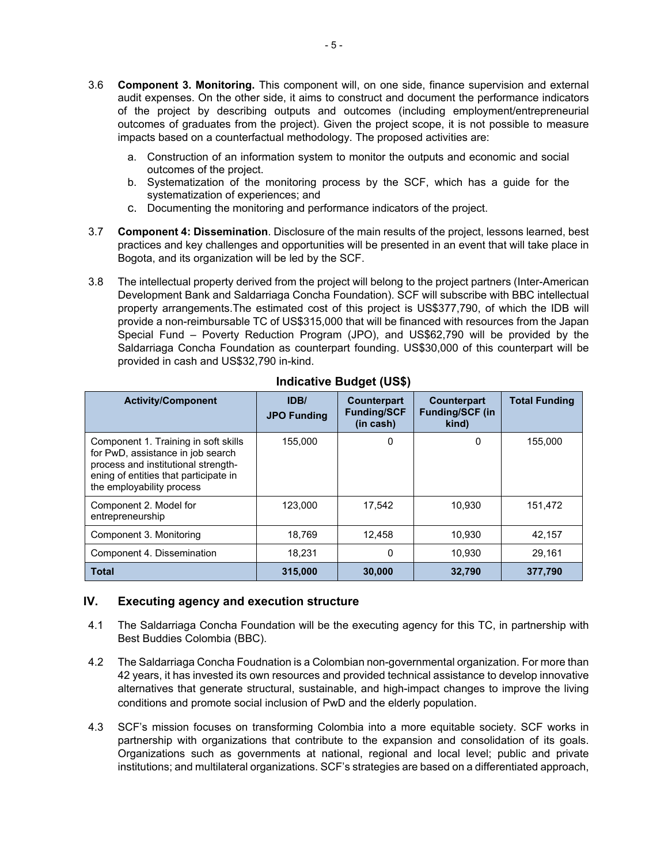- 3.6 **Component 3. Monitoring.** This component will, on one side, finance supervision and external audit expenses. On the other side, it aims to construct and document the performance indicators of the project by describing outputs and outcomes (including employment/entrepreneurial outcomes of graduates from the project). Given the project scope, it is not possible to measure impacts based on a counterfactual methodology. The proposed activities are:
	- a. Construction of an information system to monitor the outputs and economic and social outcomes of the project.
	- b. Systematization of the monitoring process by the SCF, which has a guide for the systematization of experiences; and
	- c. Documenting the monitoring and performance indicators of the project.
- 3.7 **Component 4: Dissemination**. Disclosure of the main results of the project, lessons learned, best practices and key challenges and opportunities will be presented in an event that will take place in Bogota, and its organization will be led by the SCF.
- 3.8 The intellectual property derived from the project will belong to the project partners (Inter-American Development Bank and Saldarriaga Concha Foundation). SCF will subscribe with BBC intellectual property arrangements.The estimated cost of this project is US\$377,790, of which the IDB will provide a non-reimbursable TC of US\$315,000 that will be financed with resources from the Japan Special Fund – Poverty Reduction Program (JPO), and US\$62,790 will be provided by the Saldarriaga Concha Foundation as counterpart founding. US\$30,000 of this counterpart will be provided in cash and US\$32,790 in-kind.

| <b>Activity/Component</b>                                                                                                                                                              | IDB/<br><b>JPO Funding</b> | Counterpart<br><b>Funding/SCF</b><br>(in cash) | <b>Counterpart</b><br><b>Funding/SCF (in</b><br>kind) | <b>Total Funding</b> |
|----------------------------------------------------------------------------------------------------------------------------------------------------------------------------------------|----------------------------|------------------------------------------------|-------------------------------------------------------|----------------------|
| Component 1. Training in soft skills<br>for PwD, assistance in job search<br>process and institutional strength-<br>ening of entities that participate in<br>the employability process | 155.000                    | 0                                              | 0                                                     | 155,000              |
| Component 2. Model for<br>entrepreneurship                                                                                                                                             | 123,000                    | 17,542                                         | 10.930                                                | 151,472              |
| Component 3. Monitoring                                                                                                                                                                | 18,769                     | 12,458                                         | 10,930                                                | 42,157               |
| Component 4. Dissemination                                                                                                                                                             | 18.231                     | 0                                              | 10.930                                                | 29.161               |
| <b>Total</b>                                                                                                                                                                           | 315.000                    | 30,000                                         | 32.790                                                | 377.790              |

## **Indicative Budget (US\$)**

## **IV. Executing agency and execution structure**

- 4.1 The Saldarriaga Concha Foundation will be the executing agency for this TC, in partnership with Best Buddies Colombia (BBC).
- 4.2 The Saldarriaga Concha Foudnation is a Colombian non-governmental organization. For more than 42 years, it has invested its own resources and provided technical assistance to develop innovative alternatives that generate structural, sustainable, and high-impact changes to improve the living conditions and promote social inclusion of PwD and the elderly population.
- 4.3 SCF's mission focuses on transforming Colombia into a more equitable society. SCF works in partnership with organizations that contribute to the expansion and consolidation of its goals. Organizations such as governments at national, regional and local level; public and private institutions; and multilateral organizations. SCF's strategies are based on a differentiated approach,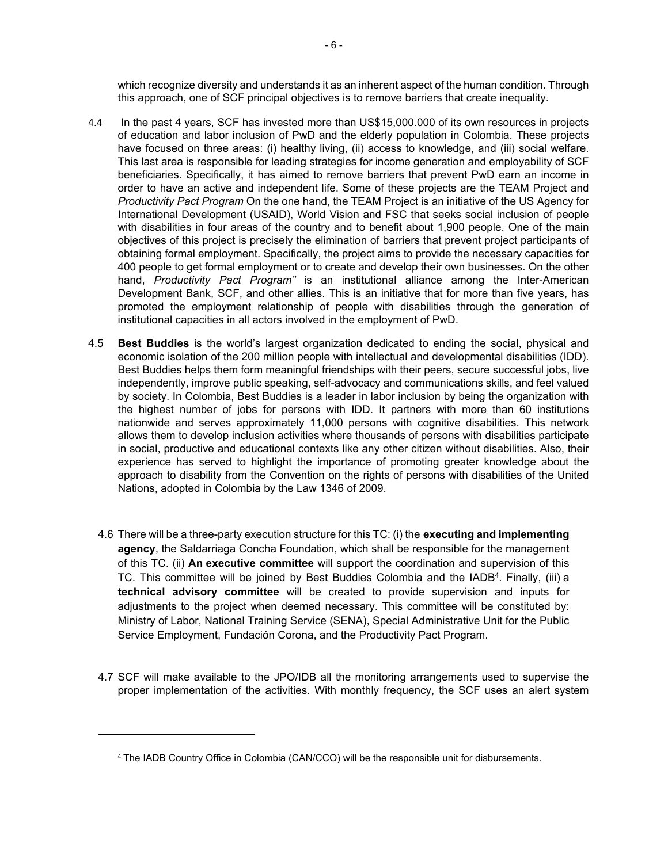which recognize diversity and understands it as an inherent aspect of the human condition. Through this approach, one of SCF principal objectives is to remove barriers that create inequality.

- 4.4 In the past 4 years, SCF has invested more than US\$15,000.000 of its own resources in projects of education and labor inclusion of PwD and the elderly population in Colombia. These projects have focused on three areas: (i) healthy living, (ii) access to knowledge, and (iii) social welfare. This last area is responsible for leading strategies for income generation and employability of SCF beneficiaries. Specifically, it has aimed to remove barriers that prevent PwD earn an income in order to have an active and independent life. Some of these projects are the TEAM Project and *Productivity Pact Program* On the one hand, the TEAM Project is an initiative of the US Agency for International Development (USAID), World Vision and FSC that seeks social inclusion of people with disabilities in four areas of the country and to benefit about 1,900 people. One of the main objectives of this project is precisely the elimination of barriers that prevent project participants of obtaining formal employment. Specifically, the project aims to provide the necessary capacities for 400 people to get formal employment or to create and develop their own businesses. On the other hand, *Productivity Pact Program"* is an institutional alliance among the Inter-American Development Bank, SCF, and other allies. This is an initiative that for more than five years, has promoted the employment relationship of people with disabilities through the generation of institutional capacities in all actors involved in the employment of PwD.
- 4.5 **Best Buddies** is the world's largest organization dedicated to ending the social, physical and economic isolation of the 200 million people with intellectual and developmental disabilities (IDD). Best Buddies helps them form meaningful friendships with their peers, secure successful jobs, live independently, improve public speaking, self-advocacy and communications skills, and feel valued by society. In Colombia, Best Buddies is a leader in labor inclusion by being the organization with the highest number of jobs for persons with IDD. It partners with more than 60 institutions nationwide and serves approximately 11,000 persons with cognitive disabilities. This network allows them to develop inclusion activities where thousands of persons with disabilities participate in social, productive and educational contexts like any other citizen without disabilities. Also, their experience has served to highlight the importance of promoting greater knowledge about the approach to disability from the Convention on the rights of persons with disabilities of the United Nations, adopted in Colombia by the Law 1346 of 2009.
	- 4.6 There will be a three-party execution structure for this TC: (i) the **executing and implementing agency**, the Saldarriaga Concha Foundation, which shall be responsible for the management of this TC. (ii) **An executive committee** will support the coordination and supervision of this TC. This committee will be joined by Best Buddies Colombia and the IADB<sup>4</sup>. Finally, (iii) a **technical advisory committee** will be created to provide supervision and inputs for adjustments to the project when deemed necessary. This committee will be constituted by: Ministry of Labor, National Training Service (SENA), Special Administrative Unit for the Public Service Employment, Fundación Corona, and the Productivity Pact Program.
	- 4.7 SCF will make available to the JPO/IDB all the monitoring arrangements used to supervise the proper implementation of the activities. With monthly frequency, the SCF uses an alert system

<sup>4</sup> The IADB Country Office in Colombia (CAN/CCO) will be the responsible unit for disbursements.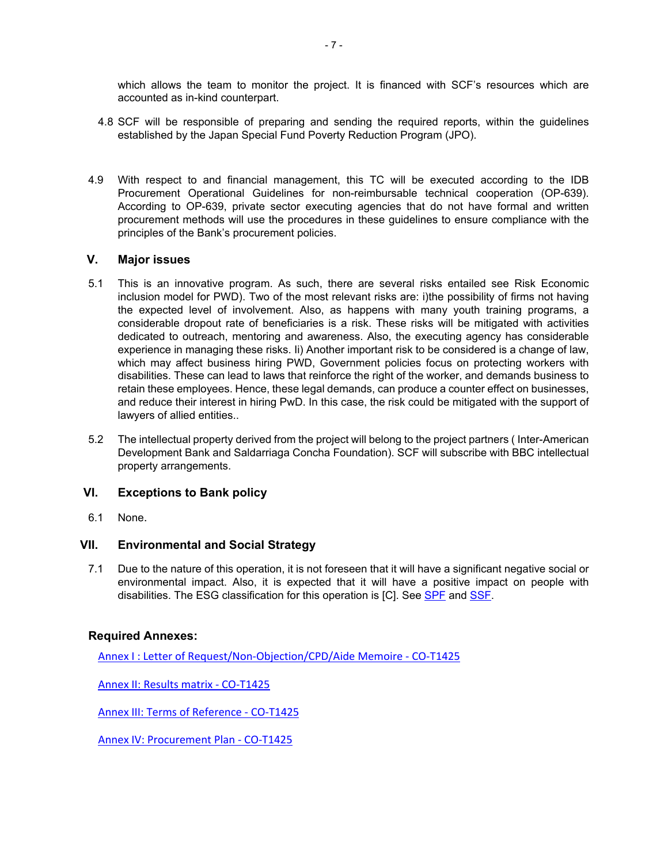which allows the team to monitor the project. It is financed with SCF's resources which are accounted as in-kind counterpart.

- 4.8 SCF will be responsible of preparing and sending the required reports, within the guidelines established by the Japan Special Fund Poverty Reduction Program (JPO).
- 4.9 With respect to and financial management, this TC will be executed according to the IDB Procurement Operational Guidelines for non-reimbursable technical cooperation (OP-639). According to OP-639, private sector executing agencies that do not have formal and written procurement methods will use the procedures in these guidelines to ensure compliance with the principles of the Bank's procurement policies.

## **V. Major issues**

- 5.1 This is an innovative program. As such, there are several risks entailed see Risk Economic inclusion model for PWD). Two of the most relevant risks are: i)the possibility of firms not having the expected level of involvement. Also, as happens with many youth training programs, a considerable dropout rate of beneficiaries is a risk. These risks will be mitigated with activities dedicated to outreach, mentoring and awareness. Also, the executing agency has considerable experience in managing these risks. Ii) Another important risk to be considered is a change of law, which may affect business hiring PWD, Government policies focus on protecting workers with disabilities. These can lead to laws that reinforce the right of the worker, and demands business to retain these employees. Hence, these legal demands, can produce a counter effect on businesses, and reduce their interest in hiring PwD. In this case, the risk could be mitigated with the support of lawyers of allied entities..
- 5.2 The intellectual property derived from the project will belong to the project partners ( Inter-American Development Bank and Saldarriaga Concha Foundation). SCF will subscribe with BBC intellectual property arrangements.

## **VI. Exceptions to Bank policy**

6.1 None.

## **VII. Environmental and Social Strategy**

7.1 Due to the nature of this operation, it is not foreseen that it will have a significant negative social or environmental impact. Also, it is expected that it will have a positive impact on people with disabilities. The ESG classification for this operation is [C]. See [SPF](https://idbg.sharepoint.com/teams/EZ-CO-TCP/CO-T1425/_layouts/15/DocIdRedir.aspx?ID=EZSHARE-1173199016-5) and [SSF](https://idbg.sharepoint.com/teams/EZ-CO-TCP/CO-T1425/_layouts/15/DocIdRedir.aspx?ID=EZSHARE-1173199016-6).

## **Required Annexes:**

[Annex I : Letter of Request/Non-Objection/CPD/Aide Memoire - CO-T1425](https://idbg.sharepoint.com/teams/EZ-CO-TCP/CO-T1425/15%20LifeCycle%20Milestones/Annex%20I%20-%20Letter%20of%20Request_Non-Objection_CPD_Aide%20Memoire%20-%20CO-T1425.pdf)

[Annex II: Results matrix - CO-T1425](https://idbg.sharepoint.com/teams/EZ-CO-TCP/CO-T1425/_layouts/15/WopiFrame.aspx?sourcedoc=%7Bd9a32ec0-4118-438a-995d-63b16d860bd8%7D&action=view)

[Annex III: Terms of Reference - CO-T1425](https://idbg.sharepoint.com/teams/EZ-CO-TCP/CO-T1425/15%20LifeCycle%20Milestones/Annex%20III-%20Terms%20of%20Reference%20-%20CO-T1425.pdf)

[Annex IV: Procurement Plan - CO-T1425](https://idbg.sharepoint.com/teams/EZ-CO-TCP/CO-T1425/_layouts/15/WopiFrame.aspx?sourcedoc=%7Be08158ef-5db9-4aaf-9d2a-374d72697170%7D&action=view)